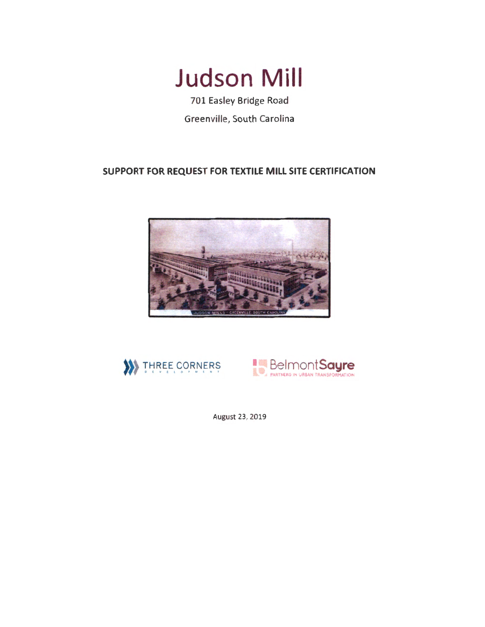

701 Easley Bridge Road Greenville, South Carolina

# **SUPPORT FOR REQUEST FOR TEXTILE MILL SITE CERTIFICATION**







August 23, 2019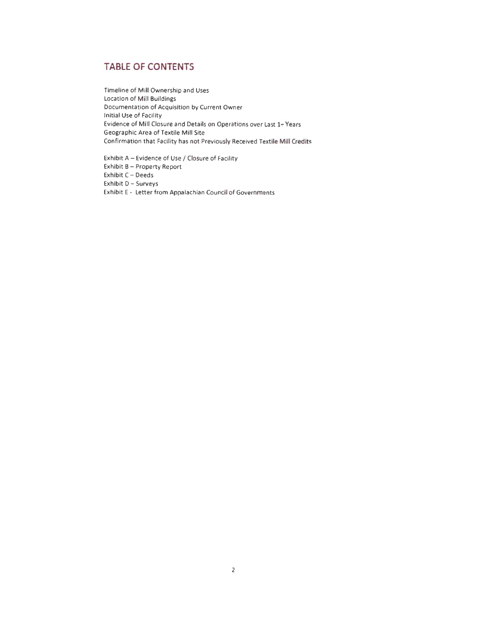## **TABLE OF CONTENTS**

Timeline of Mill Ownership and Uses Location of Mill Buildings Documentation of Acquisition by Current Owner Initial Use of Facility Evidence of Mill Closure and Details on Operations over Last 1+ Years Geographic Area of Textile Mill Site Confirmation that Facility has not Previously Received Textile Mill Credits

Exhibit A - Evidence of Use / Closure of Facility Exhibit B- Property Report Exhibit C- Deeds Exhibit D- Surveys Exhibit E - Letter from Appalachian Council of Governments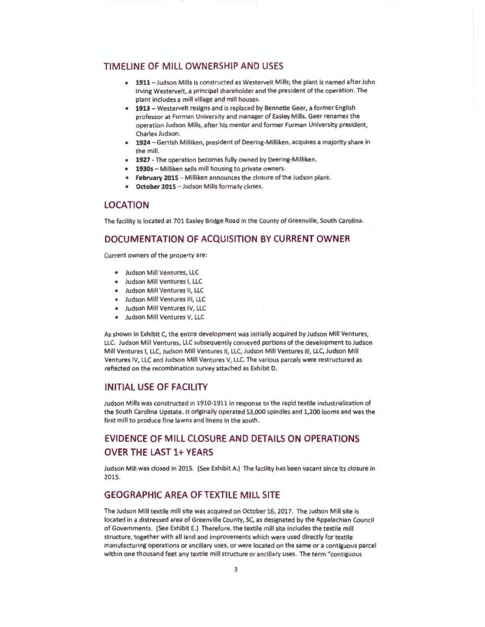### **TIM ELINE OF MILL OWNERSHIP AND USES**

- **1911-** Judson Mills is constructed as Westervelt Mills; the plant is named after John Irving Westervelt, a principal shareholder and the president of the operation . The plant includes a mill village and mill houses.
- **1913-** Westervelt resigns and is replaced by Bennette Geer, a former English professor at Furman University and manager of Easley Mills. Geer renames the operation Judson Mills, after his mentor and former Furman University president, Charles Judson.
- **1924** Gerrish Milliken, president of Deering-Milliken, acquires a majority share in the mill.
- **1927-** The operation becomes fully owned by Deering-Milliken.
- **1930s-** Milliken sells mill housing to private owners.
- **February 2015 -** Milliken announces the closure of the Judson plant.
- **October 2015-** Judson Mills formally closes.

### **LOCATION**

The facility is located at 701 Easley Bridge Road in the County of Greenville, South Carolina.

### **DOCUMENTATION OF ACQUISITION BY CURRENT OWNER**

Current owners of the property are:

- Judson Mill Ventures, LLC
- Judson Mill Ventures I, LLC
- Judson Mill Ventures II, LLC
- Judson Mill Ventures Ill, LLC
- Judson Mill Ventures IV, LLC
- Judson Mill Ventures V, LLC

As shown in Exhibit C, the entire development was initially acquired by Judson Mill Ventures, LLC. Judson Mill Ventures, LLC subsequently conveyed portions of the development to Judson Mill Ventures I, LLC, Judson Mill Ventures II, LLC, Judson Mill Ventures III, LLC, Judson Mill Ventures IV, LLC and Judson Mill Ventures V, LLC. The various parcels were restructured as reflected on the recombination survey attached as Exhibit D.

#### **INITIAL USE OF FACILITY**

Judson Mills was constructed in 1910-1911 in response to the rapid textile industrialization of the South Carolina Upstate. It originally operated 53,000 spindles and 1,200 looms and was the first mill to produce fine lawns and linens in the south.

# **EVIDENCE OF MILL CLOSURE AND DETAILS ON OPERATIONS OVER THE LAST 1+ YEARS**

Judson Mill was closed in 2015. (See Exhibit A.) The facility has been vacant since its closure in 2015.

## **GEOGRAPHIC AREA OF TEXTILE MILL SITE**

The Judson Mill textile mill site was acquired on October 16, 2017. The Judson Mill site is located in a distressed area of Greenville County, SC, as designated by the Appalachian Council of Governments. (See Exhibit E.) Therefore, the textile mill site includes the textile mill structure, together with all land and improvements which were used directly for textile manufacturing operations or ancillary uses, or were located on the same or a contiguous parcel within one thousand feet any textile mill structure or ancillary uses. The term "contiguous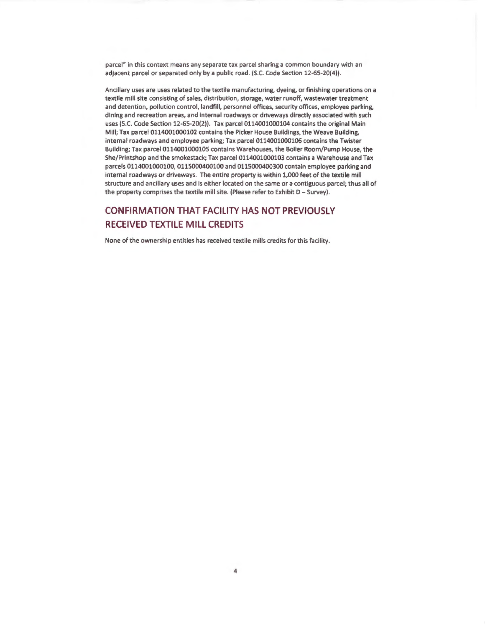parcel" in this context means any separate tax parcel sharing a common boundary with an adjacent parcel or separated only by a public road. (S.C. Code Section 12-65-20(4)).

Ancillary uses are uses related to the textile manufacturing, dyeing, or finishing operations on a textile mill site consisting of sales, distribution, storage, water runoff, wastewater treatment and detention, pollution control, landfill, personnel offices, security offices, employee parking.. dining and recreation areas, and internal roadways or driveways directly associated with such uses (S.C. Code Section 12-65-20(2)). Tax parcel 0114001000104 contains the original Main Mill; Tax parcel 0114001000102 contains the Picker House Buildings, the Weave Building, internal roadways and employee parking; Tax parcel 0114001000106 contains the Twister Building; Tax parcel 0114001000105 contains Warehouses, the Boiler Room/Pump House, the She/Printshop and the smokestack; Tax parcel 0114001000103 contains a Warehouse and Tax parcels 0114001000100, 0115000400100 and 0115000400300 contain employee parking and internal roadways or driveways. The entire property is within 1,000 feet of the textile mill structure and ancillary uses and is either located on the same or a contiguous parcel; thus all of the property comprises the textile mill site. (Please refer to Exhibit D- Survey).

# **CONFIRMATION THAT FACILITY HAS NOT PREVIOUSLY RECEIVED TEXTILE MILL CREDITS**

None of the ownership entities has received textile mills credits for this facility.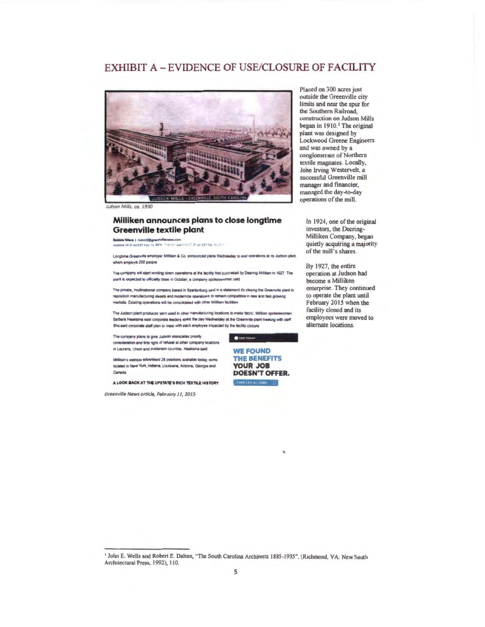## EXHIBIT A- EVIDENCE OF USE/CLOSURE OF FACILITY



udson Mills, ca. 1930

#### **Milliken announces plans to close longtime Greenville textile plant**

**bbblie Word | rword2@greenvillenews.com**<br>Jedanie 10:37 am EST Feb. 15, 2015 | Drgman populatio (FL2T en EST Feb. 11, 20

**Longtime Greenville emoloyer Milliken & Co. announced plans Wednesday to end operations at its Judson plant** which employs 200 people

The company will start winding down operations at the facility first purchased by Deening-Milliken in 1927. The  $p$  **plant is expected to officially close in October. a company spokeswoman said.** 

The private, multinational company based in Spartanburg said in a statement it's closing the Greenville plant to reposition manufacturing assets and modernize operations to remain compatitive in new and fast-growing markets. Existing operations will be consolidated with other Milikan facilities.

**The Judson plan1 produte\$: yern used in mhlr** ma ~llCl nng **locatJons 10 make fabnt Ml1l ken spok.,woman**  Berbare Hasksma said corporate leaders spent the day Wednesday at the Greenville plant meeting with staff She said corporate staff plan to meet with each employee impacted by the facility closure

> **WE FOUND THE BENEFITS YOUR JOB DOESN'T OFFER.**

FIND LOCAL JOBS

**USA TODAY** 

•

The company plans to give Judson associates pnortly consideration and first right of refusel at other company locations  $n$  Laurens, Union and Anderson counties. Heeksma said

Milikan's website advertsed 28 positions available today, some **baited m New Yort, lndlena. Lot.JWna. Mzona, Georgta end Canada** 

A LOOK BACK AT THE UPSTATE'S RICH TEXTILE HISTORY

Greenville News orticle, February 11, 2015

Placed on 300 acres just outside the Greenville city limits and near the spur for the Southern Railroad, construction on Judson Mill began in 1910.<sup>1</sup> The original plant was designed by Lockwood Greene Engineers and was owned by a conglomerate of Northern textile magnates. Locally, John lrving Westervelt, a successful Greenville mill manager and financier, managed the day-to-day operations of the mill.

In 1924, one of the original investors, the Deering-Milliken Company, began quietly acquiring a majority of the mill's shares.

By 1927, the entire operation at Judson had become a Milliken enterprise. They continued to operate the plant until February 2015 when the facility closed and its employees were moved to alternate locations.

<sup>1</sup> John E. Wells and Robert E. Dalton, "The South Carolina Architects 1885-1935", (Richmond, VA: New South Architectural Press, 1992), 110.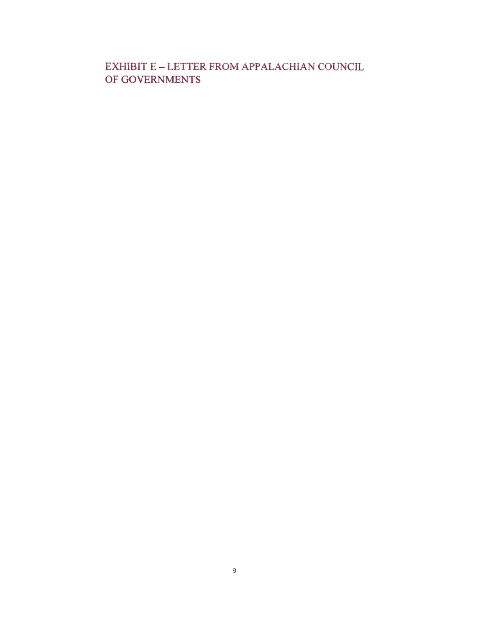EXHIBIT E - LETTER FROM APPALACHIAN COUNCIL OF GOVERNMENTS